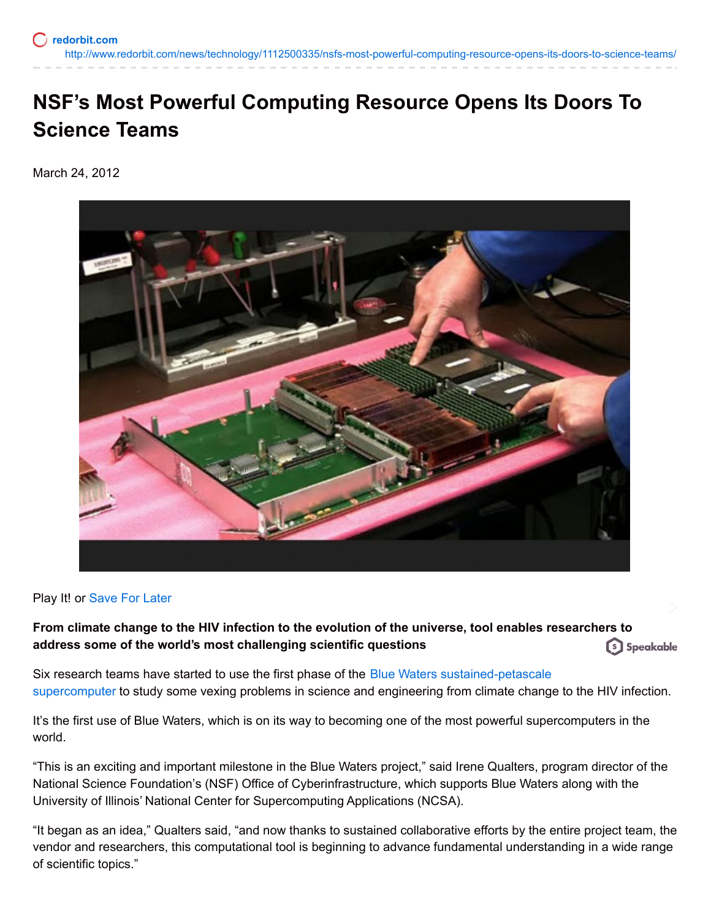## **NSF's Most Powerful Computing Resource Opens Its Doors To Science Teams**

March 24, 2012



Play It! or [Save](http://www.redorbit.com/news/technology/1112500335/nsfs-most-powerful-computing-resource-opens-its-doors-to-science-teams/) For Later

**From climate change to the HIV infection to the evolution of the universe, tool enables researchers to address some of the world's most challenging scientific questions** [s] Speakable

Six research teams have started to use the first phase of the Blue Waters [sustained-petascale](http://www.ncsa.illinois.edu/BlueWaters/) supercomputer to study some vexing problems in science and engineering from climate change to the HIV infection.

It's the first use of Blue Waters, which is on its way to becoming one of the most powerful supercomputers in the world.

"This is an exciting and important milestone in the Blue Waters project," said Irene Qualters, program director of the National Science Foundation's (NSF) Office of Cyberinfrastructure, which supports Blue Waters along with the University of Illinois' National Center for Supercomputing Applications (NCSA).

"It began as an idea," Qualters said, "and now thanks to sustained collaborative efforts by the entire project team, the vendor and researchers, this computational tool is beginning to advance fundamental understanding in a wide range of scientific topics."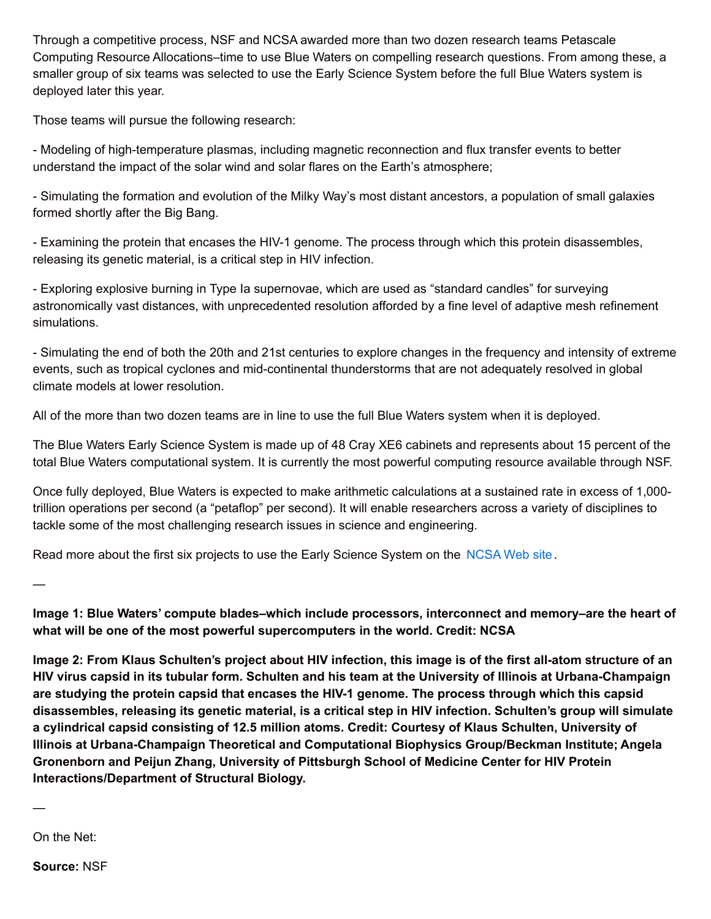Through a competitive process, NSF and NCSA awarded more than two dozen research teams Petascale Computing Resource Allocations–time to use Blue Waters on compelling research questions. From among these, a smaller group of six teams was selected to use the Early Science System before the full Blue Waters system is deployed later this year.

Those teams will pursue the following research:

- Modeling of high-temperature plasmas, including magnetic reconnection and flux transfer events to better understand the impact of the solar wind and solar flares on the Earth's atmosphere;

- Simulating the formation and evolution of the Milky Way's most distant ancestors, a population of small galaxies formed shortly after the Big Bang.

- Examining the protein that encases the HIV-1 genome. The process through which this protein disassembles, releasing its genetic material, is a critical step in HIV infection.

- Exploring explosive burning in Type Ia supernovae, which are used as "standard candles" for surveying astronomically vast distances, with unprecedented resolution afforded by a fine level of adaptive mesh refinement simulations.

- Simulating the end of both the 20th and 21st centuries to explore changes in the frequency and intensity of extreme events, such as tropical cyclones and mid-continental thunderstorms that are not adequately resolved in global climate models at lower resolution.

All of the more than two dozen teams are in line to use the full Blue Waters system when it is deployed.

The Blue Waters Early Science System is made up of 48 Cray XE6 cabinets and represents about 15 percent of the total Blue Waters computational system. It is currently the most powerful computing resource available through NSF.

Once fully deployed, Blue Waters is expected to make arithmetic calculations at a sustained rate in excess of 1,000 trillion operations per second (a "petaflop" per second). It will enable researchers across a variety of disciplines to tackle some of the most challenging research issues in science and engineering.

Read more about the first six projects to use the Early Science System on the [NCSA](http:) Web site.

—

**Image 1: Blue Waters' compute blades–which include processors, interconnect and memory–are the heart of what will be one of the most powerful supercomputers in the world. Credit: NCSA**

Image 2: From Klaus Schulten's project about HIV infection, this image is of the first all-atom structure of an HIV virus capsid in its tubular form. Schulten and his team at the University of Illinois at Urbana-Champaign **are studying the protein capsid that encases the HIV-1 genome. The process through which this capsid** disassembles, releasing its genetic material, is a critical step in HIV infection. Schulten's group will simulate **a cylindrical capsid consisting of 12.5 million atoms. Credit: Courtesy of Klaus Schulten, University of Illinois at Urbana-Champaign Theoretical and Computational Biophysics Group/Beckman Institute; Angela Gronenborn and Peijun Zhang, University of Pittsburgh School of Medicine Center for HIV Protein Interactions/Department of Structural Biology.**

—

On the Net:

**Source:** NSF